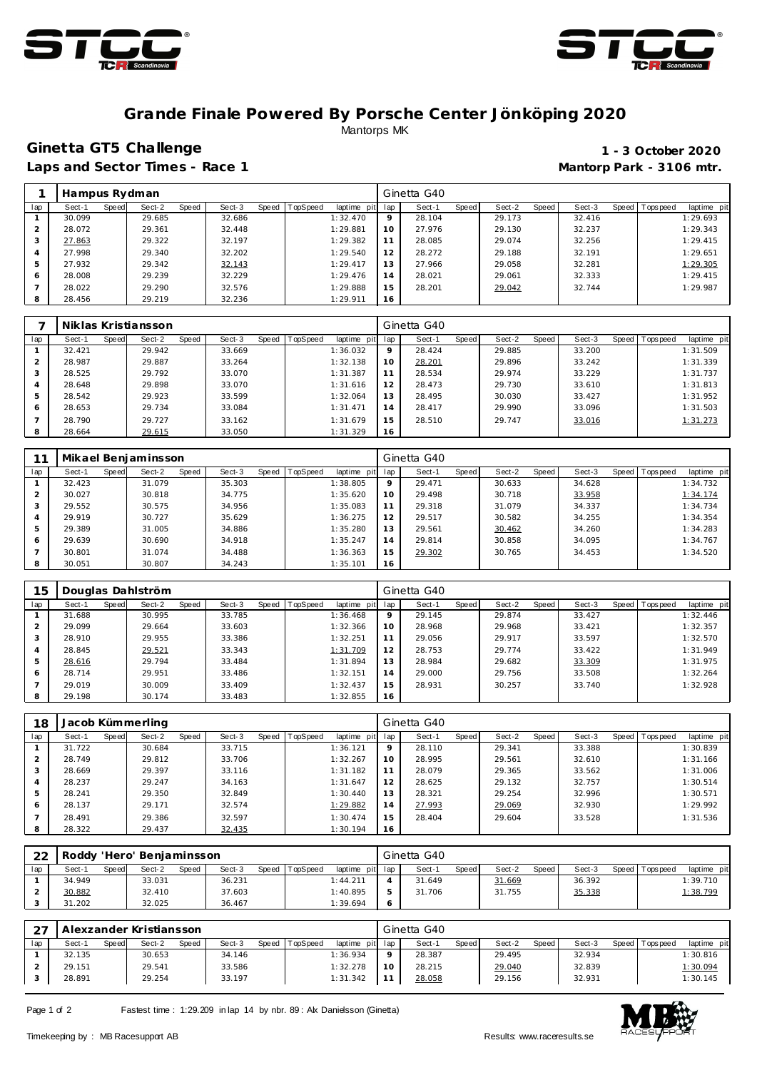



#### **Grande Finale Powered By Porsche Center Jönköping 2020** Mantorps MK

## **Ginetta GT5 Challenge 1 - 3 October 2020**

Laps and Sector Times - Race 1 **Mantorp Park - 3106 mtr. Mantorp Park - 3106 mtr.** 

|     | Hampus Rydman |       |        |       |        |       |          |             |     | Ginetta G40 |       |        |       |        |         |           |             |
|-----|---------------|-------|--------|-------|--------|-------|----------|-------------|-----|-------------|-------|--------|-------|--------|---------|-----------|-------------|
| lap | Sect-1        | Speed | Sect-2 | Speed | Sect-3 | Speed | TopSpeed | laptime pit | lap | Sect-1      | Speed | Sect-2 | Speed | Sect-3 | Speed I | Tops peed | laptime pit |
|     | 30.099        |       | 29.685 |       | 32.686 |       |          | 1:32.470    | 9   | 28.104      |       | 29.173 |       | 32.416 |         |           | 1:29.693    |
| 2   | 28.072        |       | 29.361 |       | 32.448 |       |          | 1:29.881    | 10  | 27.976      |       | 29.130 |       | 32.237 |         |           | 1:29.343    |
| 3   | 27.863        |       | 29.322 |       | 32.197 |       |          | 1:29.382    | 11  | 28.085      |       | 29.074 |       | 32.256 |         |           | 1:29.415    |
|     | 27.998        |       | 29.340 |       | 32.202 |       |          | 1:29.540    | 12  | 28.272      |       | 29.188 |       | 32.191 |         |           | 1:29.651    |
| 5   | 27.932        |       | 29.342 |       | 32.143 |       |          | 1:29.417    | 13  | 27.966      |       | 29.058 |       | 32.281 |         |           | 1:29.305    |
| 6   | 28,008        |       | 29.239 |       | 32.229 |       |          | 1:29.476    | 14  | 28.021      |       | 29.061 |       | 32.333 |         |           | 1:29.415    |
|     | 28.022        |       | 29.290 |       | 32.576 |       |          | 1:29.888    | 15  | 28.201      |       | 29.042 |       | 32.744 |         |           | 1:29.987    |
| 8   | 28.456        |       | 29.219 |       | 32.236 |       |          | 1:29.911    | 16  |             |       |        |       |        |         |           |             |

|     |        |       | Niklas Kristiansson |       |        |       |          |                 |         | Ginetta G40 |       |        |       |        |                 |             |
|-----|--------|-------|---------------------|-------|--------|-------|----------|-----------------|---------|-------------|-------|--------|-------|--------|-----------------|-------------|
| lap | Sect-1 | Speed | Sect-2              | Speed | Sect-3 | Speed | TopSpeed | laptime pit lap |         | Sect-1      | Speed | Sect-2 | Speed | Sect-3 | Speed Tops peed | laptime pit |
|     | 32.421 |       | 29.942              |       | 33.669 |       |          | 1:36.032        | $\circ$ | 28.424      |       | 29.885 |       | 33.200 |                 | 1:31.509    |
|     | 28.987 |       | 29.887              |       | 33.264 |       |          | 1:32.138        | 10      | 28.201      |       | 29.896 |       | 33.242 |                 | 1:31.339    |
|     | 28.525 |       | 29.792              |       | 33.070 |       |          | 1:31.387        | 11      | 28.534      |       | 29.974 |       | 33.229 |                 | 1:31.737    |
|     | 28.648 |       | 29.898              |       | 33.070 |       |          | 1:31.616        | 12      | 28.473      |       | 29.730 |       | 33.610 |                 | 1:31.813    |
| 5   | 28.542 |       | 29.923              |       | 33.599 |       |          | 1:32.064        | 13      | 28.495      |       | 30.030 |       | 33.427 |                 | 1:31.952    |
| 6   | 28.653 |       | 29.734              |       | 33.084 |       |          | 1:31.471        | 14      | 28.417      |       | 29.990 |       | 33.096 |                 | 1:31.503    |
|     | 28.790 |       | 29.727              |       | 33.162 |       |          | 1:31.679        | 15      | 28.510      |       | 29.747 |       | 33.016 |                 | 1:31.273    |
| 8   | 28.664 |       | 29.615              |       | 33.050 |       |          | 1:31.329        | 16      |             |       |        |       |        |                 |             |

|                |        |       | Mikael Benjaminsson |       |        |              |          |                |     | Ginetta G40 |              |        |       |        |       |           |             |
|----------------|--------|-------|---------------------|-------|--------|--------------|----------|----------------|-----|-------------|--------------|--------|-------|--------|-------|-----------|-------------|
| lap            | Sect-1 | Speed | Sect-2              | Speed | Sect-3 | <b>Speed</b> | TopSpeed | laptime<br>pit | lap | Sect-1      | <b>Speed</b> | Sect-2 | Speed | Sect-3 | Speed | Tops peed | laptime pit |
|                | 32.423 |       | 31.079              |       | 35.303 |              |          | 1:38.805       | 9   | 29.471      |              | 30.633 |       | 34.628 |       |           | 1:34.732    |
| $\overline{2}$ | 30.027 |       | 30.818              |       | 34.775 |              |          | 1:35.620       | 10  | 29.498      |              | 30.718 |       | 33.958 |       |           | 1:34.174    |
| 3              | 29.552 |       | 30.575              |       | 34.956 |              |          | 1:35.083       | 11  | 29.318      |              | 31.079 |       | 34.337 |       |           | 1:34.734    |
| 4              | 29.919 |       | 30.727              |       | 35.629 |              |          | 1:36.275       | 12  | 29.517      |              | 30.582 |       | 34.255 |       |           | 1:34.354    |
| 5              | 29.389 |       | 31.005              |       | 34.886 |              |          | 1:35.280       | 13  | 29.561      |              | 30.462 |       | 34.260 |       |           | 1:34.283    |
| 6              | 29.639 |       | 30.690              |       | 34.918 |              |          | 1:35.247       | 14  | 29.814      |              | 30.858 |       | 34.095 |       |           | 1:34.767    |
|                | 30.801 |       | 31.074              |       | 34.488 |              |          | 1:36.363       | 15  | 29.302      |              | 30.765 |       | 34.453 |       |           | 1:34.520    |
| 8              | 30.051 |       | 30.807              |       | 34.243 |              |          | 1:35.101       | 16  |             |              |        |       |        |       |           |             |

| 15  |        |       | Douglas Dahlström |       |        |       |          |                |                 | Ginetta G40 |       |        |       |        |                |             |
|-----|--------|-------|-------------------|-------|--------|-------|----------|----------------|-----------------|-------------|-------|--------|-------|--------|----------------|-------------|
| lap | Sect-1 | Speed | Sect-2            | Speed | Sect-3 | Speed | TopSpeed | laptime<br>pit | lap             | Sect-1      | Speed | Sect-2 | Speed | Sect-3 | Speed Topspeed | laptime pit |
|     | 31.688 |       | 30.995            |       | 33.785 |       |          | 1:36.468       | $\mathsf{Q}$    | 29.145      |       | 29.874 |       | 33.427 |                | 1:32.446    |
|     | 29.099 |       | 29.664            |       | 33.603 |       |          | 1:32.366       | 10 <sup>°</sup> | 28.968      |       | 29.968 |       | 33.421 |                | 1:32.357    |
| 3   | 28.910 |       | 29.955            |       | 33.386 |       |          | 1:32.251       | 11              | 29.056      |       | 29.917 |       | 33.597 |                | 1:32.570    |
| 4   | 28.845 |       | 29.521            |       | 33.343 |       |          | 1:31.709       | 12              | 28.753      |       | 29.774 |       | 33.422 |                | 1:31.949    |
| 5   | 28.616 |       | 29.794            |       | 33.484 |       |          | 1:31.894       | 13              | 28.984      |       | 29.682 |       | 33.309 |                | 1:31.975    |
| 6   | 28.714 |       | 29.951            |       | 33.486 |       |          | 1:32.151       | 14              | 29.000      |       | 29.756 |       | 33.508 |                | 1:32.264    |
|     | 29.019 |       | 30.009            |       | 33.409 |       |          | 1:32.437       | 15              | 28.931      |       | 30.257 |       | 33.740 |                | 1:32.928    |
| 8   | 29.198 |       | 30.174            |       | 33.483 |       |          | 1:32.855       | 16              |             |       |        |       |        |                |             |

| 18  |        |       | Jacob Kümmerling |       |        |                |             |     | Ginetta G40 |       |        |       |        |                |             |
|-----|--------|-------|------------------|-------|--------|----------------|-------------|-----|-------------|-------|--------|-------|--------|----------------|-------------|
| lap | Sect-1 | Speed | Sect-2           | Speed | Sect-3 | Speed TopSpeed | laptime pit | lap | Sect-1      | Speed | Sect-2 | Speed | Sect-3 | Speed Topspeed | laptime pit |
|     | 31.722 |       | 30.684           |       | 33.715 |                | 1:36.121    | 9   | 28.110      |       | 29.341 |       | 33.388 |                | 1:30.839    |
|     | 28.749 |       | 29.812           |       | 33.706 |                | 1:32.267    | 10  | 28.995      |       | 29.561 |       | 32.610 |                | 1:31.166    |
|     | 28.669 |       | 29.397           |       | 33.116 |                | 1:31.182    | 11  | 28.079      |       | 29.365 |       | 33.562 |                | 1:31.006    |
| 4   | 28.237 |       | 29.247           |       | 34.163 |                | 1:31.647    | 12  | 28.625      |       | 29.132 |       | 32.757 |                | 1:30.514    |
| 5   | 28.241 |       | 29.350           |       | 32.849 |                | 1:30.440    | 13  | 28.321      |       | 29.254 |       | 32.996 |                | 1:30.571    |
| 6   | 28.137 |       | 29.171           |       | 32.574 |                | 1:29.882    | 14  | 27.993      |       | 29.069 |       | 32.930 |                | 1:29.992    |
|     | 28.491 |       | 29.386           |       | 32.597 |                | 1:30.474    | 15  | 28.404      |       | 29.604 |       | 33.528 |                | 1:31.536    |
| 8   | 28.322 |       | 29.437           |       | 32.435 |                | 1:30.194    | 16  |             |       |        |       |        |                |             |

| 22  |        |       | Roddy 'Hero' Benjaminsson |       |        |                |                 |   | Ginetta G40 |       |        |       |        |         |          |             |
|-----|--------|-------|---------------------------|-------|--------|----------------|-----------------|---|-------------|-------|--------|-------|--------|---------|----------|-------------|
| lap | Sect-1 | Speed | Sect-2                    | Speed | Sect-3 | Speed TopSpeed | laptime pit lap |   | Sect-1      | Speed | Sect-2 | Speed | Sect-3 | Speed I | Topspeed | laptime pit |
|     | 34.949 |       | 33.031                    |       | 36.231 |                | 1:44.211        |   | 31.649      |       | 31.669 |       | 36.392 |         |          | 1:39.710    |
|     | 30.882 |       | 32.410                    |       | 37.603 |                | 1:40.895        | 5 | 31.706      |       | 31.755 |       | 35.338 |         |          | 1:38.799    |
|     | 31.202 |       | 32.025                    |       | 36.467 |                | 1:39.694        | c |             |       |        |       |        |         |          |             |

|     |        |       | Alexzander Kristiansson |       |        |       |                 |                 |    | Ginetta G40 |              |        |       |        |                 |             |
|-----|--------|-------|-------------------------|-------|--------|-------|-----------------|-----------------|----|-------------|--------------|--------|-------|--------|-----------------|-------------|
| lap | Sect-1 | Speed | Sect-2                  | Speed | Sect-3 | Speed | <b>TopSpeed</b> | laptime pit lap |    | Sect-1      | <b>Speed</b> | Sect-2 | Speed | Sect-3 | Speed Tops peed | laptime pit |
|     | 32.135 |       | 30.653                  |       | 34.146 |       |                 | 1:36.934        |    | 28.387      |              | 29.495 |       | 32.934 |                 | 1:30.816    |
|     | 29.151 |       | 29.541                  |       | 33.586 |       |                 | 1:32.278        | 10 | 28.215      |              | 29.040 |       | 32.839 |                 | 1:30.094    |
|     | 28.891 |       | 29.254                  |       | 33.197 |       |                 | 1:31.342        |    | 28.058      |              | 29.156 |       | 32.931 |                 | 1:30.145    |

Page 1 of 2 Fastest time : 1:29.209 in lap 14 by nbr. 89 : Alx Danielsson (Ginetta)